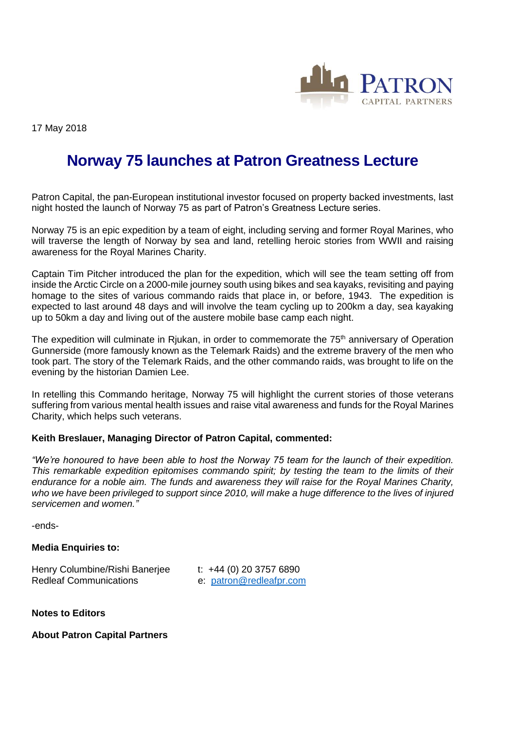

17 May 2018

## **Norway 75 launches at Patron Greatness Lecture**

Patron Capital, the pan-European institutional investor focused on property backed investments, last night hosted the launch of Norway 75 as part of Patron's Greatness Lecture series.

Norway 75 is an epic expedition by a team of eight, including serving and former Royal Marines, who will traverse the length of Norway by sea and land, retelling heroic stories from WWII and raising awareness for the Royal Marines Charity.

Captain Tim Pitcher introduced the plan for the expedition, which will see the team setting off from inside the Arctic Circle on a 2000-mile journey south using bikes and sea kayaks, revisiting and paying homage to the sites of various commando raids that place in, or before, 1943. The expedition is expected to last around 48 days and will involve the team cycling up to 200km a day, sea kayaking up to 50km a day and living out of the austere mobile base camp each night.

The expedition will culminate in Rjukan, in order to commemorate the  $75<sup>th</sup>$  anniversary of Operation Gunnerside (more famously known as the Telemark Raids) and the extreme bravery of the men who took part. The story of the Telemark Raids, and the other commando raids, was brought to life on the evening by the historian Damien Lee.

In retelling this Commando heritage, Norway 75 will highlight the current stories of those veterans suffering from various mental health issues and raise vital awareness and funds for the Royal Marines Charity, which helps such veterans.

## **Keith Breslauer, Managing Director of Patron Capital, commented:**

*"We're honoured to have been able to host the Norway 75 team for the launch of their expedition. This remarkable expedition epitomises commando spirit; by testing the team to the limits of their endurance for a noble aim. The funds and awareness they will raise for the Royal Marines Charity,*  who we have been privileged to support since 2010, will make a huge difference to the lives of injured *servicemen and women."*

-ends-

## **Media Enquiries to:**

Henry Columbine/Rishi Banerjee t: +44 (0) 20 3757 6890 Redleaf Communications e: [patron@redleafpr.com](mailto:patron@redleafpr.com) 

**Notes to Editors**

**About Patron Capital Partners**